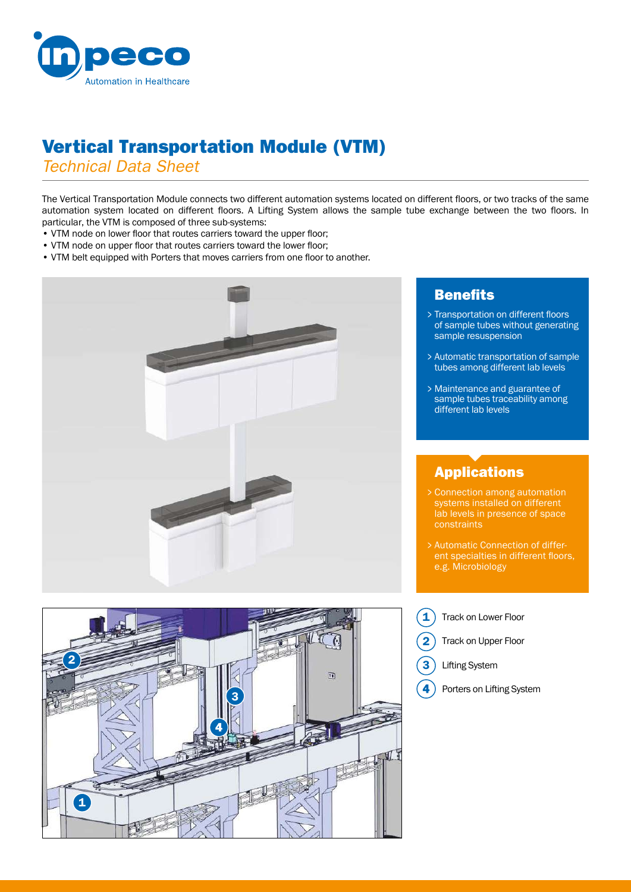

# Vertical Transportation Module (VTM)

*Technical Data Sheet*

The Vertical Transportation Module connects two different automation systems located on different floors, or two tracks of the same automation system located on different floors. A Lifting System allows the sample tube exchange between the two floors. In particular, the VTM is composed of three sub-systems:

- VTM node on lower floor that routes carriers toward the upper floor;
- VTM node on upper floor that routes carriers toward the lower floor;
- VTM belt equipped with Porters that moves carriers from one floor to another.





#### **Benefits**

- Transportation on different floors > of sample tubes without generating sample resuspension
- Automatic transportation of sample > tubes among different lab levels
- Maintenance and guarantee of > sample tubes traceability among different lab levels

## Applications

- Connection among automation > systems installed on different lab levels in presence of space
- Automatic Connection of differ-> ent specialties in different floors, e.g. Microbiology
- Track on Lower Floor 1
	- Track on Upper Floor
	- Lifting System

2

3

4

Porters on Lifting System